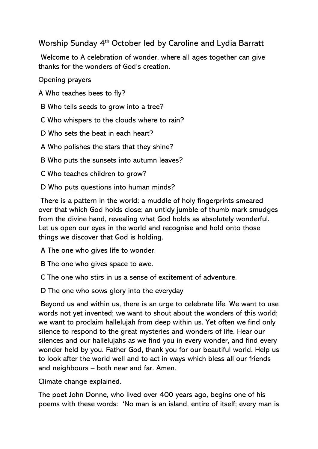## Worship Sunday 4<sup>th</sup> October led by Caroline and Lydia Barratt

Welcome to A celebration of wonder, where all ages together can give thanks for the wonders of God's creation.

Opening prayers

A Who teaches bees to fly?

B Who tells seeds to grow into a tree?

C Who whispers to the clouds where to rain?

D Who sets the beat in each heart?

A Who polishes the stars that they shine?

B Who puts the sunsets into autumn leaves?

C Who teaches children to grow?

D Who puts questions into human minds?

There is a pattern in the world: a muddle of holy fingerprints smeared over that which God holds close; an untidy jumble of thumb mark smudges from the divine hand, revealing what God holds as absolutely wonderful. Let us open our eyes in the world and recognise and hold onto those things we discover that God is holding.

A The one who gives life to wonder.

B The one who gives space to awe.

C The one who stirs in us a sense of excitement of adventure.

D The one who sows glory into the everyday

Beyond us and within us, there is an urge to celebrate life. We want to use words not yet invented; we want to shout about the wonders of this world; we want to proclaim hallelujah from deep within us. Yet often we find only silence to respond to the great mysteries and wonders of life. Hear our silences and our hallelujahs as we find you in every wonder, and find every wonder held by you. Father God, thank you for our beautiful world. Help us to look after the world well and to act in ways which bless all our friends and neighbours – both near and far. Amen.

Climate change explained.

The poet John Donne, who lived over 400 years ago, begins one of his poems with these words: 'No man is an island, entire of itself; every man is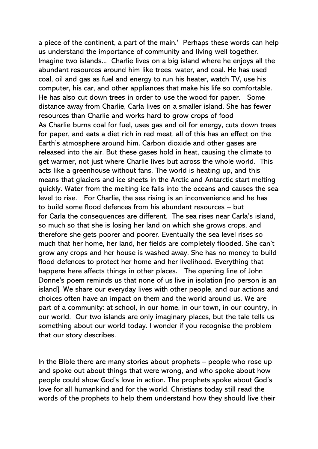a piece of the continent, a part of the main.' Perhaps these words can help us understand the importance of community and living well together. Imagine two islands... Charlie lives on a big island where he enjoys all the abundant resources around him like trees, water, and coal. He has used coal, oil and gas as fuel and energy to run his heater, watch TV, use his computer, his car, and other appliances that make his life so comfortable. He has also cut down trees in order to use the wood for paper. Some distance away from Charlie, Carla lives on a smaller island. She has fewer resources than Charlie and works hard to grow crops of food As Charlie burns coal for fuel, uses gas and oil for energy, cuts down trees for paper, and eats a diet rich in red meat, all of this has an effect on the Earth's atmosphere around him. Carbon dioxide and other gases are released into the air. But these gases hold in heat, causing the climate to get warmer, not just where Charlie lives but across the whole world. This acts like a greenhouse without fans. The world is heating up, and this means that glaciers and ice sheets in the Arctic and Antarctic start melting quickly. Water from the melting ice falls into the oceans and causes the sea level to rise. For Charlie, the sea rising is an inconvenience and he has to build some flood defences from his abundant resources – but for Carla the consequences are different. The sea rises near Carla's island, so much so that she is losing her land on which she grows crops, and therefore she gets poorer and poorer. Eventually the sea level rises so much that her home, her land, her fields are completely flooded. She can't grow any crops and her house is washed away. She has no money to build flood defences to protect her home and her livelihood. Everything that happens here affects things in other places. The opening line of John Donne's poem reminds us that none of us live in isolation [no person is an island]. We share our everyday lives with other people, and our actions and choices often have an impact on them and the world around us. We are part of a community: at school, in our home, in our town, in our country, in our world. Our two islands are only imaginary places, but the tale tells us something about our world today. I wonder if you recognise the problem that our story describes.

In the Bible there are many stories about prophets  $-$  people who rose up and spoke out about things that were wrong, and who spoke about how people could show God's love in action. The prophets spoke about God's love for all humankind and for the world. Christians today still read the words of the prophets to help them understand how they should live their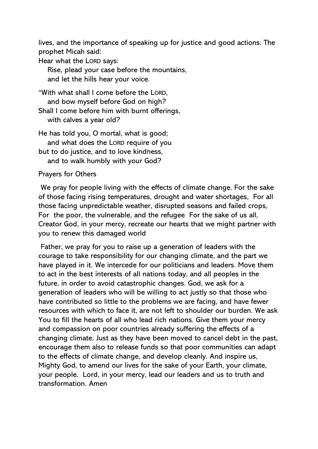lives, and the importance of speaking up for justice and good actions. The prophet Micah said:

Hear what the LORD says:

 Rise, plead your case before the mountains, and let the hills hear your voice.

"With what shall I come before the LORD, and bow myself before God on high? Shall I come before him with burnt offerings,

with calves a year old?

He has told you, O mortal, what is good; and what does the LORD require of you but to do justice, and to love kindness, and to walk humbly with your God?

## Prayers for Others

We pray for people living with the effects of climate change. For the sake of those facing rising temperatures, drought and water shortages, For all those facing unpredictable weather, disrupted seasons and failed crops, For the poor, the vulnerable, and the refugee For the sake of us all, Creator God, in your mercy, recreate our hearts that we might partner with you to renew this damaged world

Father, we pray for you to raise up a generation of leaders with the courage to take responsibility for our changing climate, and the part we have played in it. We intercede for our politicians and leaders. Move them to act in the best interests of all nations today, and all peoples in the future, in order to avoid catastrophic changes. God, we ask for a generation of leaders who will be willing to act justly so that those who have contributed so little to the problems we are facing, and have fewer resources with which to face it, are not left to shoulder our burden. We ask You to fill the hearts of all who lead rich nations. Give them your mercy and compassion on poor countries already suffering the effects of a changing climate. Just as they have been moved to cancel debt in the past, encourage them also to release funds so that poor communities can adapt to the effects of climate change, and develop cleanly. And inspire us, Mighty God, to amend our lives for the sake of your Earth, your climate, your people. Lord, in your mercy, lead our leaders and us to truth and transformation. Amen